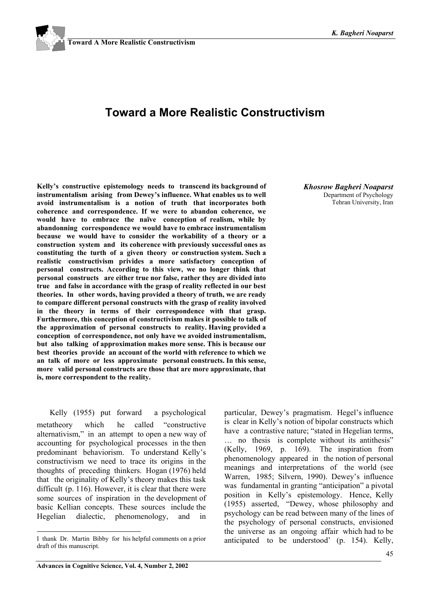# **Toward a More Realistic Constructivism**

**Kelly's constructive epistemology needs to transcend its background of instrumentalism arising from Dewey's influence. What enables us to well avoid instrumentalism is a notion of truth that incorporates both coherence and correspondence. If we were to abandon coherence, we would have to embrace the naïve conception of realism, while by abandonning correspondence we would have to embrace instrumentalism because we would have to consider the workability of a theory or a construction system and its coherence with previously successful ones as constituting the turth of a given theory or construction system. Such a realistic constructivism privides a more satisfactory conception of personal constructs. According to this view, we no longer think that personal constructs are either true nor false, rather they are divided into true and false in accordance with the grasp of reality reflected in our best theories. In other words, having provided a theory of truth, we are ready to compare different personal constructs with the grasp of reality involved in the theory in terms of their correspondence with that grasp. Furthermore, this conception of constructivism makes it possible to talk of the approximation of personal constructs to reality. Having provided a conception of correspondence, not only have we avoided instrumentalism, but also talking of approximation makes more sense. This is because our best theories provide an account of the world with reference to which we an talk of more or less approximate personal constructs. In this sense, more valid personal constructs are those that are more approximate, that is, more correspondent to the reality.**

*Khosrow Bagheri Noaparst* Department of Psychology Tehran University, Iran

Kelly (1955) put forward a psychological metatheory which he called "constructive alternativism," in an attempt to open a new way of accounting for psychological processes in the then predominant behaviorism. To understand Kelly's constructivism we need to trace its origins in the thoughts of preceding thinkers. Hogan (1976) held that the originality of Kelly's theory makes this task difficult (p. 116). However, it is clear that there were some sources of inspiration in the development of basic Kellian concepts. These sources include the Hegelian dialectic, phenomenology, and in

 $\overline{a}$ 

particular, Dewey's pragmatism. Hegel's influence is clear in Kelly's notion of bipolar constructs which have a contrastive nature; "stated in Hegelian terms, … no thesis is complete without its antithesis" (Kelly, 1969, p. 169). The inspiration from phenomenology appeared in the notion of personal meanings and interpretations of the world (see Warren, 1985; Silvern, 1990). Dewey's influence was fundamental in granting "anticipation" a pivotal position in Kelly's epistemology. Hence, Kelly (1955) asserted, "Dewey, whose philosophy and psychology can be read between many of the lines of the psychology of personal constructs, envisioned the universe as an ongoing affair which had to be anticipated to be understood' (p. 154). Kelly,

I thank Dr. Martin Bibby for his helpful comments on a prior draft of this manuscript.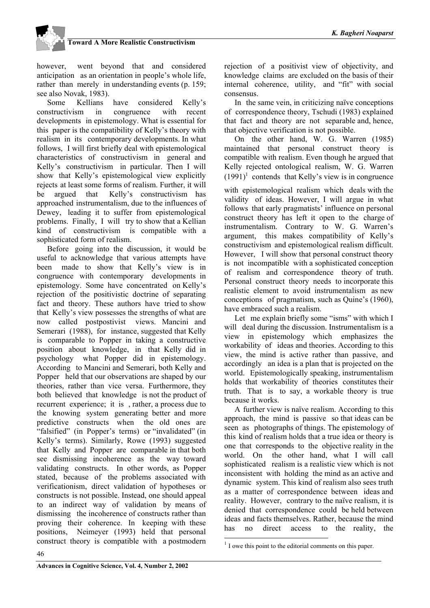however, went beyond that and considered anticipation as an orientation in people's whole life, rather than merely in understanding events (p. 159; see also Novak, 1983).

Some Kellians have considered Kelly's constructivism in congruence with recent developments in epistemology. What is essential for this paper is the compatibility of Kelly's theory with realism in its contemporary developments. In what follows, I will first briefly deal with epistemological characteristics of constructivism in general and Kelly's constructivism in particular. Then I will show that Kelly's epistemological view explicitly rejects at least some forms of realism. Further, it will be argued that Kelly's constructivism has approached instrumentalism, due to the influences of Dewey, leading it to suffer from epistemological problems. Finally, I will try to show that a Kellian kind of constructivism is compatible with a sophisticated form of realism.

Before going into the discussion, it would be useful to acknowledge that various attempts have been made to show that Kelly's view is in congruence with contemporary developments in epistemology. Some have concentrated on Kelly's rejection of the positivistic doctrine of separating fact and theory. These authors have tried to show that Kelly's view possesses the strengths of what are now called postpostivist views. Mancini and Semerari (1988), for instance, suggested that Kelly is comparable to Popper in taking a constructive position about knowledge, in that Kelly did in psychology what Popper did in epistemology. According to Mancini and Semerari, both Kelly and Popper held that our observations are shaped by our theories, rather than vice versa. Furthermore, they both believed that knowledge is not the product of recurrent experience; it is , rather, a process due to the knowing system generating better and more predictive constructs when the old ones are "falsified" (in Popper's terms) or "invalidated" (in Kelly's terms). Similarly, Rowe (1993) suggested that Kelly and Popper are comparable in that both see dismissing incoherence as the way toward validating constructs. In other words, as Popper stated, because of the problems associated with verificationism, direct validation of hypotheses or constructs is not possible. Instead, one should appeal to an indirect way of validation by means of dismissing the incoherence of constructs rather than proving their coherence. In keeping with these positions, Neimeyer (1993) held that personal construct theory is compatible with a postmodern

rejection of a positivist view of objectivity, and knowledge claims are excluded on the basis of their internal coherence, utility, and "fit" with social consensus.

In the same vein, in criticizing naïve conceptions of correspondence theory, Tschudi (1983) explained that fact and theory are not separable and, hence, that objective verification is not possible.

On the other hand, W. G. Warren (1985) maintained that personal construct theory is compatible with realism. Even though he argued that Kelly rejected ontological realism, W. G. Warren  $(1991)^1$  contends that Kelly's view is in congruence

with epistemological realism which deals with the validity of ideas. However, I will argue in what follows that early pragmatists' influence on personal construct theory has left it open to the charge of instrumentalism. Contrary to W. G. Warren's argument, this makes compatibility of Kelly's constructivism and epistemological realism difficult. However, I will show that personal construct theory is not incompatible with a sophisticated conception of realism and correspondence theory of truth. Personal construct theory needs to incorporate this realistic element to avoid instrumentalism as new conceptions of pragmatism, such as Quine's (1960), have embraced such a realism.

Let me explain briefly some "isms" with which I will deal during the discussion. Instrumentalism is a view in epistemology which emphasizes the workability of ideas and theories. According to this view, the mind is active rather than passive, and accordingly an idea is a plan that is projected on the world. Epistemologically speaking, instrumentalism holds that workability of theories constitutes their truth. That is to say, a workable theory is true because it works.

A further view is naïve realism. According to this approach, the mind is passive so that ideas can be seen as photographs of things. The epistemology of this kind of realism holds that a true idea or theory is one that corresponds to the objective reality in the world. On the other hand, what I will call sophisticated realism is a realistic view which is not inconsistent with holding the mind as an active and dynamic system. This kind of realism also sees truth as a matter of correspondence between ideas and reality. However, contrary to the naïve realism, it is denied that correspondence could be held between ideas and facts themselves. Rather, because the mind has no direct access to the reality, the

l

 $<sup>1</sup>$  I owe this point to the editorial comments on this paper.</sup>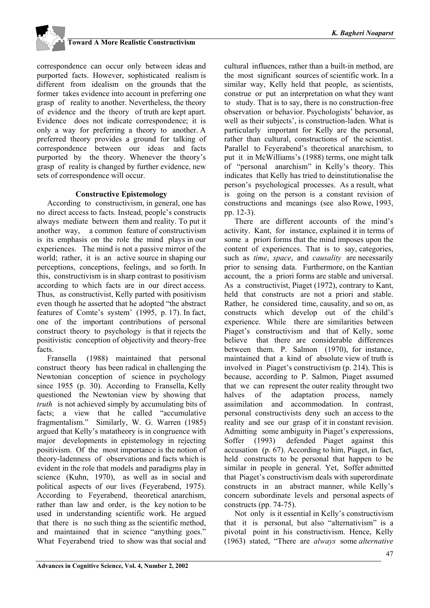

correspondence can occur only between ideas and purported facts. However, sophisticated realism is different from idealism on the grounds that the former takes evidence into account in preferring one grasp of reality to another. Nevertheless, the theory of evidence and the theory of truth are kept apart. Evidence does not indicate correspondence; it is only a way for preferring a theory to another. A preferred theory provides a ground for talking of correspondence between our ideas and facts purported by the theory. Whenever the theory's grasp of reality is changed by further evidence, new sets of correspondence will occur.

### **Constructive Epistemology**

According to constructivism, in general, one has no direct access to facts. Instead, people's constructs always mediate between them and reality. To put it another way, a common feature of constructivism is its emphasis on the role the mind plays in our experiences. The mind is not a passive mirror of the world; rather, it is an active source in shaping our perceptions, conceptions, feelings, and so forth. In this, constructivism is in sharp contrast to positivism according to which facts are in our direct access. Thus, as constructivist, Kelly parted with positivism even though he asserted that he adopted "the abstract features of Comte's system' (1995, p. 17). In fact, one of the important contributions of personal construct theory to psychology is that it rejects the positivistic conception of objectivity and theory-free facts.

Fransella (1988) maintained that personal construct theory has been radical in challenging the Newtonian conception of science in psychology since 1955 (p. 30). According to Fransella, Kelly questioned the Newtonian view by showing that *truth* is not achieved simply by accumulating bits of facts; a view that he called "accumulative fragmentalism." Similarly, W. G. Warren (1985) argued that Kelly's matatheory is in congruence with major developments in epistemology in rejecting positivism. Of the most importance is the notion of theory-ladenness of observations and facts which is evident in the role that models and paradigms play in science (Kuhn, 1970), as well as in social and political aspects of our lives (Feyerabend, 1975). According to Feyerabend, theoretical anarchism, rather than law and order, is the key notion to be used in understanding scientific work. He argued that there is no such thing as the scientific method, and maintained that in science "anything goes." What Feyerabend tried to show was that social and

cultural influences, rather than a built-in method, are the most significant sources of scientific work. In a similar way, Kelly held that people, as scientists, construe or put an interpretation on what they want to study. That is to say, there is no construction-free observation or behavior. Psychologists' behavior, as well as their subjects', is construction-laden. What is particularly important for Kelly are the personal, rather than cultural, constructions of the scientist. Parallel to Feyerabend's theoretical anarchism, to put it in McWilliams's (1988) terms, one might talk of "personal anarchism" in Kelly's theory. This indicates that Kelly has tried to deinstitutionalise the person's psychological processes. As a result, what is going on the person is a constant revision of constructions and meanings (see also Rowe, 1993, pp. 12-3).

There are different accounts of the mind's activity. Kant, for instance, explained it in terms of some a priori forms that the mind imposes upon the content of experiences. That is to say, categories, such as *time*, *space*, and *causality* are necessarily prior to sensing data. Furthermore, on the Kantian account, the a priori forms are stable and universal. As a constructivist, Piaget (1972), contrary to Kant, held that constructs are not a priori and stable. Rather, he considered time, causality, and so on, as constructs which develop out of the child's experience. While there are similarities between Piaget's constructivism and that of Kelly, some believe that there are considerable differences between them. P. Salmon (1970), for instance, maintained that a kind of absolute view of truth is involved in Piaget's constructivism (p. 214). This is because, according to P. Salmon, Piaget assumed that we can represent the outer reality throught two halves of the adaptation process, namely assimilation and accommodation. In contrast, personal constructivists deny such an access to the reality and see our grasp of it in constant revision. Admitting some ambiguity in Piaget's experessions, Soffer (1993) defended Piaget against this accusation (p. 67). According to him, Piaget, in fact, held constructs to be personal that happen to be similar in people in general. Yet, Soffer admitted that Piaget's constructivism deals with superordinate constructs in an abstract manner, while Kelly's concern subordinate levels and personal aspects of constructs (pp. 74-75).

Not only is it essential in Kelly's constructivism that it is personal, but also "alternativism" is a pivotal point in his constructivism. Hence, Kelly (1963) stated, "There are *always* some *alternative*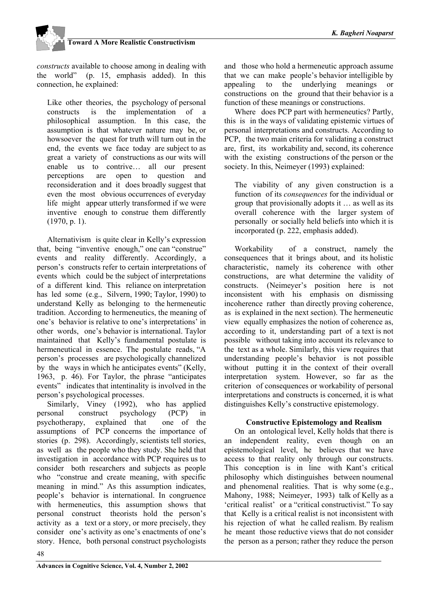

*constructs* available to choose among in dealing with the world" (p. 15, emphasis added). In this connection, he explained:

Like other theories, the psychology of personal constructs is the implementation of a philosophical assumption. In this case, the assumption is that whatever nature may be, or howsoever the quest for truth will turn out in the end, the events we face today are subject to as great a variety of constructions as our wits will enable us to contrive… all our present perceptions are open to question and reconsideration and it does broadly suggest that even the most obvious occurrences of everyday life might appear utterly transformed if we were inventive enough to construe them differently (1970, p. 1).

Alternativism is quite clear in Kelly's expression that, being "inventive enough," one can "construe" events and reality differently. Accordingly, a person's constructs refer to certain interpretations of events which could be the subject of interpretations of a different kind. This reliance on interpretation has led some (e.g., Silvern, 1990; Taylor, 1990) to understand Kelly as belonging to the hermeneutic tradition. According to hermeneutics, the meaning of one's behavior is relative to one's interpretations' in other words, one's behavior is international. Taylor maintained that Kelly's fundamental postulate is hermeneutical in essence. The postulate reads, "A person's processes are psychologically channelized by the ways in which he anticipates events" (Kelly, 1963, p. 46). For Taylor, the phrase "anticipates events" indicates that intentinality is involved in the person's psychological processes.

Similarly, Viney (1992), who has applied personal construct psychology (PCP) in psychotherapy, explained that one of the assumptions of PCP concerns the importance of stories (p. 298). Accordingly, scientists tell stories, as well as the people who they study. She held that investigation in accordance with PCP requires us to consider both researchers and subjects as people who "construe and create meaning, with specific meaning in mind." As this assumption indicates, people's behavior is international. In congruence with hermeneutics, this assumption shows that personal construct theorists hold the person's activity as a text or a story, or more precisely, they consider one's activity as one's enactments of one's story. Hence, both personal construct psychologists

and those who hold a hermeneutic approach assume that we can make people's behavior intelligible by appealing to the underlying meanings or constructions on the ground that their behavior is a function of these meanings or constructions.

Where does PCP part with hermeneutics? Partly, this is in the ways of validating epistemic virtues of personal interpretations and constructs. According to PCP, the two main criteria for validating a construct are, first, its workability and, second, its coherence with the existing constructions of the person or the society. In this, Neimeyer (1993) explained:

The viability of any given construction is a function of its *consequences* for the individual or group that provisionally adopts it … as well as its overall coherence with the larger system of personally or socially held beliefs into which it is incorporated (p. 222, emphasis added).

Workability of a construct, namely the consequences that it brings about, and its holistic characteristic, namely its coherence with other constructions, are what determine the validity of constructs. (Neimeyer's position here is not inconsistent with his emphasis on dismissing incoherence rather than directly proving coherence, as is explained in the next section). The hermeneutic view equally emphasizes the notion of coherence as, according to it, understanding part of a text is not possible without taking into account its relevance to the text as a whole. Similarly, this view requires that understanding people's behavior is not possible without putting it in the context of their overall interpretation system. However, so far as the criterion of consequences or workability of personal interpretations and constructs is concerned, it is what distinguishes Kelly's constructive epistemology.

### **Constructive Epistemology and Realism**

On an ontological level, Kelly holds that there is an independent reality, even though on an epistemological level, he believes that we have access to that reality only through our constructs. This conception is in line with Kant's critical philosophy which distinguishes between noumenal and phenomenal realities. That is why some (e.g., Mahony, 1988; Neimeyer, 1993) talk of Kelly as a 'critical realist' or a "critical constructivist." To say that Kelly is a critical realist is not inconsistent with his rejection of what he called realism. By realism he meant those reductive views that do not consider the person as a person; rather they reduce the person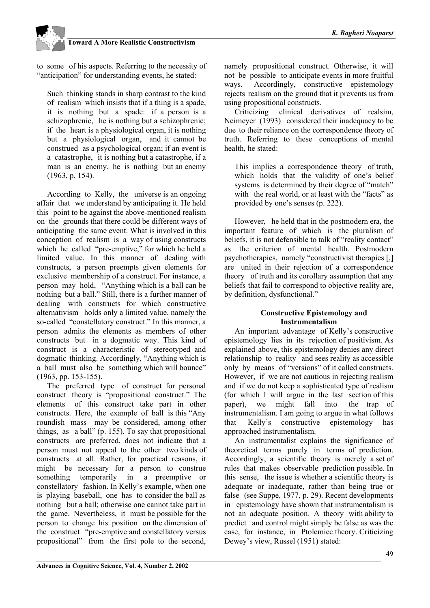to some of his aspects. Referring to the necessity of "anticipation" for understanding events, he stated:

Such thinking stands in sharp contrast to the kind of realism which insists that if a thing is a spade, it is nothing but a spade: if a person is a schizophrenic, he is nothing but a schizophrenic; if the heart is a physiological organ, it is nothing but a physiological organ, and it cannot be construed as a psychological organ; if an event is a catastrophe, it is nothing but a catastrophe, if a man is an enemy, he is nothing but an enemy (1963, p. 154).

According to Kelly, the universe is an ongoing affair that we understand by anticipating it. He held this point to be against the above-mentioned realism on the grounds that there could be different ways of anticipating the same event. What is involved in this conception of realism is a way of using constructs which he called "pre-emptive," for which he held a limited value. In this manner of dealing with constructs, a person preempts given elements for exclusive membership of a construct. For instance, a person may hold, "Anything which is a ball can be nothing but a ball." Still, there is a further manner of dealing with constructs for which constructive alternativism holds only a limited value, namely the so-called "constellatory construct." In this manner, a person admits the elements as members of other constructs but in a dogmatic way. This kind of construct is a characteristic of stereotyped and dogmatic thinking. Accordingly, "Anything which is a ball must also be something which will bounce" (1963, pp. 153-155).

The preferred type of construct for personal construct theory is "propositional construct." The elements of this construct take part in other constructs. Here, the example of ball is this "Any roundish mass may be considered, among other things, as a ball" (p. 155). To say that propositional constructs are preferred, does not indicate that a person must not appeal to the other two kinds of constructs at all. Rather, for practical reasons, it might be necessary for a person to construe something temporarily in a preemptive or constellatory fashion. In Kelly's example, when one is playing baseball, one has to consider the ball as nothing but a ball; otherwise one cannot take part in the game. Nevertheless, it must be possible for the person to change his position on the dimension of the construct "pre-emptive and constellatory versus propositional" from the first pole to the second,

namely propositional construct. Otherwise, it will not be possible to anticipate events in more fruitful ways. Accordingly, constructive epistemology rejects realism on the ground that it prevents us from using propositional constructs.

Criticizing clinical derivatives of realsim, Neimeyer (1993) considered their inadequacy to be due to their reliance on the correspondence theory of truth. Referring to these conceptions of mental health, he stated:

This implies a correspondence theory of truth, which holds that the validity of one's belief systems is determined by their degree of "match" with the real world, or at least with the "facts" as provided by one's senses (p. 222).

However, he held that in the postmodern era, the important feature of which is the pluralism of beliefs, it is not defensible to talk of "reality contact" as the criterion of mental health. Postmodern psychotherapies, namely "constructivist therapies [,] are united in their rejection of a correspondence theory of truth and its corollary assumption that any beliefs that fail to correspond to objective reality are, by definition, dysfunctional."

### **Constructive Epistemology and Instrumentalism**

An important advantage of Kelly's constructive epistemology lies in its rejection of positivism. As explained above, this epistemology denies any direct relationship to reality and sees reality as accessible only by means of "versions" of it called constructs. However, if we are not cautious in rejecting realism and if we do not keep a sophisticated type of realism (for which I will argue in the last section of this paper), we might fall into the trap of instrumentalism. I am going to argue in what follows that Kelly's constructive epistemology has approached instrumentalism.

An instrumentalist explains the significance of theoretical terms purely in terms of prediction. Accordingly, a scientific theory is merely a set of rules that makes observable prediction possible. In this sense, the issue is whether a scientific theory is adequate or inadequate, rather than being true or false (see Suppe, 1977, p. 29). Recent developments in epistemology have shown that instrumentalism is not an adequate position. A theory with ability to predict and control might simply be false as was the case, for instance, in Ptolemiec theory. Criticizing Dewey's view, Russel (1951) stated: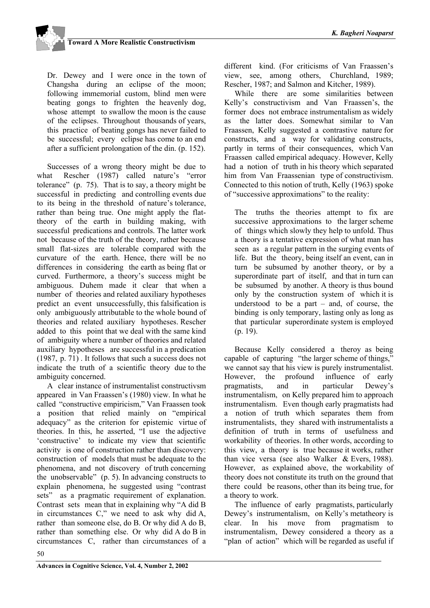Dr. Dewey and I were once in the town of Changsha during an eclipse of the moon; following immemorial custom, blind men were beating gongs to frighten the heavenly dog, whose attempt to swallow the moon is the cause of the eclipses. Throughout thousands of years, this practice of beating gongs has never failed to be successful; every eclipse has come to an end after a sufficient prolongation of the din. (p. 152).

Successes of a wrong theory might be due to what Rescher (1987) called nature's "error tolerance" (p. 75). That is to say, a theory might be successful in predicting and controlling events due to its being in the threshold of nature's tolerance, rather than being true. One might apply the flattheory of the earth in building making, with successful predications and controls. The latter work not because of the truth of the theory, rather because small flat-sizes are tolerable compared with the curvature of the earth. Hence, there will be no differences in considering the earth as being flat or curved. Furthermore, a theory's success might be ambiguous. Duhem made it clear that when a number of theories and related auxiliary hypotheses predict an event unsuccessfully, this falsification is only ambiguously attributable to the whole bound of theories and related auxiliary hypotheses. Rescher added to this point that we deal with the same kind of ambiguity where a number of theories and related auxiliary hypotheses are successful in a predication (1987, p. 71) . It follows that such a success does not indicate the truth of a scientific theory due to the ambiguity concerned.

A clear instance of instrumentalist constructivsm appeared in Van Fraassen's (1980) view. In what he called "constructive empiricism," Van Fraassen took a position that relied mainly on "empirical adequacy" as the criterion for epistemic virtue of theories. In this, he asserted, "I use the adjective 'constructive' to indicate my view that scientific activity is one of construction rather than discovery: construction of models that must be adequate to the phenomena, and not discovery of truth concerning the unobservable" (p. 5). In advancing constructs to explain phenomena, he suggested using "contrast sets" as a pragmatic requirement of explanation. Contrast sets mean that in explaining why "A did B in circumstances C," we need to ask why did A, rather than someone else, do B. Or why did A do B, rather than something else. Or why did A do B in circumstances C, rather than circumstances of a

different kind. (For criticisms of Van Fraassen's view, see, among others, Churchland, 1989; Rescher, 1987; and Salmon and Kitcher, 1989).

While there are some similarities between Kelly's constructivism and Van Fraassen's, the former does not embrace instrumentalism as widely as the latter does. Somewhat similar to Van Fraassen, Kelly suggested a contrastive nature for constructs, and a way for validating constructs, partly in terms of their consequences, which Van Fraassen called empirical adequacy. However, Kelly had a notion of truth in his theory which separated him from Van Fraassenian type of constructivism. Connected to this notion of truth, Kelly (1963) spoke of "successive approximations" to the reality:

The truths the theories attempt to fix are successive approximations to the larger scheme of things which slowly they help to unfold. Thus a theory is a tentative expression of what man has seen as a regular pattern in the surging events of life. But the theory, being itself an event, can in turn be subsumed by another theory, or by a superordinate part of itself, and that in turn can be subsumed by another. A theory is thus bound only by the construction system of which it is understood to be a part  $-$  and, of course, the binding is only temporary, lasting only as long as that particular superordinate system is employed (p. 19).

Because Kelly considered a theroy as being capable of capturing "the larger scheme of things," we cannot say that his view is purely instrumentalist. However, the profound influence of early pragmatists, and in particular Dewey's instrumentalism, on Kelly prepared him to approach instrumentalism. Even though early pragmatists had a notion of truth which separates them from instrumentalists, they shared with instrumentalists a definition of truth in terms of usefulness and workability of theories. In other words, according to this view, a theory is true because it works, rather than vice versa (see also Walker & Evers, 1988). However, as explained above, the workability of theory does not constitute its truth on the ground that there could be reasons, other than its being true, for a theory to work.

The influence of early pragmatists, particularly Dewey's instrumentalism, on Kelly's metatheory is clear. In his move from pragmatism to instrumentalism, Dewey considered a theory as a "plan of action" which will be regarded as useful if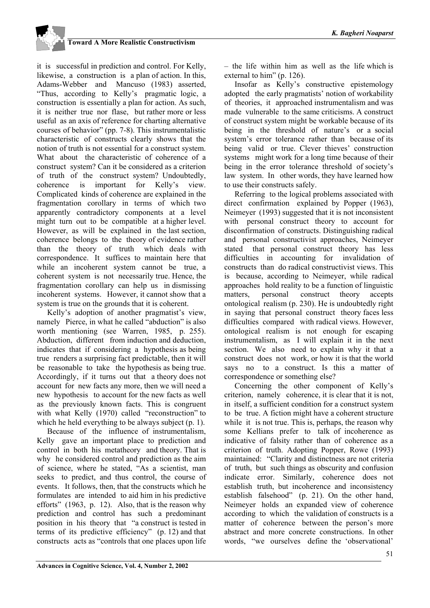it is successful in prediction and control. For Kelly, likewise, a construction is a plan of action. In this, Adams-Webber and Mancuso (1983) asserted, "Thus, according to Kelly's pragmatic logic, a construction is essentially a plan for action. As such, it is neither true nor flase, but rather more or less useful as an axis of reference for charting alternative courses of behavior" (pp. 7-8). This instrumentalistic characteristic of constructs clearly shows that the notion of truth is not essential for a construct system. What about the characteristic of coherence of a construct system? Can it be considered as a criterion of truth of the construct system? Undoubtedly, coherence is important for Kelly's view. Complicated kinds of coherence are explained in the fragmentation corollary in terms of which two apparently contradictory components at a level might turn out to be compatible at a higher level. However, as will be explained in the last section, coherence belongs to the theory of evidence rather than the theory of truth which deals with correspondence. It suffices to maintain here that while an incoherent system cannot be true, a coherent system is not necessarily true. Hence, the fragmentation corollary can help us in dismissing incoherent systems. However, it cannot show that a system is true on the grounds that it is coherent.

Kelly's adoption of another pragmatist's view, namely Pierce, in what he called "abduction" is also worth mentioning (see Warren, 1985, p. 255). Abduction, different from induction and deduction, indicates that if considering a hypothesis as being true renders a surprising fact predictable, then it will be reasonable to take the hypothesis as being true. Accordingly, if it turns out that a theory does not account for new facts any more, then we will need a new hypothesis to account for the new facts as well as the previously known facts. This is congruent with what Kelly (1970) called "reconstruction" to which he held everything to be always subject (p. 1).

Because of the influence of instrumentalism, Kelly gave an important place to prediction and control in both his metatheory and theory. That is why he considered control and prediction as the aim of science, where he stated, "As a scientist, man seeks to predict, and thus control, the course of events. It follows, then, that the constructs which he formulates are intended to aid him in his predictive efforts" (1963, p. 12). Also, that is the reason why prediction and control has such a predominant position in his theory that "a construct is tested in terms of its predictive efficiency" (p. 12) and that constructs acts as "controls that one places upon life

– the life within him as well as the life which is external to him" (p. 126).

Insofar as Kelly's constructive epistemology adopted the early pragmatists' notion of workability of theories, it approached instrumentalism and was made vulnerable to the same criticisms. A construct of construct system might be workable because of its being in the threshold of nature's or a social system's error tolerance rather than because of its being valid or true. Clever thieves' construction systems might work for a long time because of their being in the error tolerance threshold of society's law system. In other words, they have learned how to use their constructs safely.

Referring to the logical problems associated with direct confirmation explained by Popper (1963), Neimeyer (1993) suggested that it is not inconsistent with personal construct theory to account for disconfirmation of constructs. Distinguishing radical and personal constructivist approaches, Neimeyer stated that personal construct theory has less difficulties in accounting for invalidation of constructs than do radical constructivist views. This is because, according to Neimeyer, while radical approaches hold reality to be a function of linguistic matters, personal construct theory accepts ontological realism (p. 230). He is undoubtedly right in saying that personal construct theory faces less difficulties compared with radical views. However, ontological realism is not enough for escaping instrumentalism, as I will explain it in the next section. We also need to explain why it that a construct does not work, or how it is that the world says no to a construct. Is this a matter of correspondence or something else?

Concerning the other component of Kelly's criterion, namely coherence, it is clear that it is not, in itself, a sufficient condition for a construct system to be true. A fiction might have a coherent structure while it is not true. This is, perhaps, the reason why some Kellians prefer to talk of incoherence as indicative of falsity rather than of coherence as a criterion of truth. Adopting Popper, Rowe (1993) maintained: "Clarity and distinctness are not criteria of truth, but such things as obscurity and confusion indicate error. Similarly, coherence does not establish truth, but incoherence and inconsistency establish falsehood" (p. 21). On the other hand, Neimeyer holds an expanded view of coherence according to which the validation of constructs is a matter of coherence between the person's more abstract and more concrete constructions. In other words, "we ourselves define the 'observational'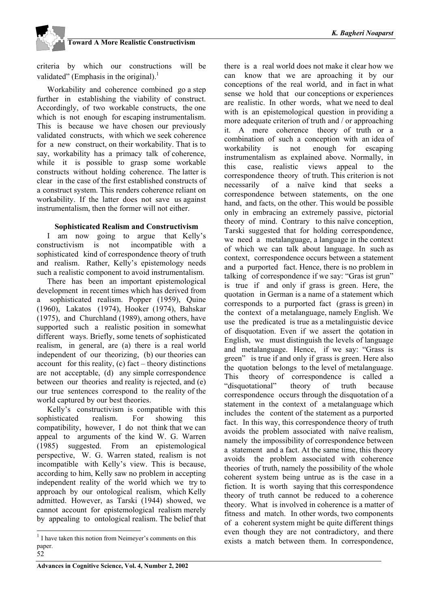

criteria by which our constructions will be validated" (Emphasis in the original).<sup>1</sup>

Workability and coherence combined go a step further in establishing the viability of construct. Accordingly, of two workable constructs, the one which is not enough for escaping instrumentalism. This is because we have chosen our previously validated constructs, with which we seek coherence for a new construct, on their workability. That is to say, workability has a primacy talk of coherence, while it is possible to grasp some workable constructs without holding coherence. The latter is clear in the case of the first established constructs of a construct system. This renders coherence reliant on workability. If the latter does not save us against instrumentalism, then the former will not either.

### **Sophisticated Realism and Constructivism**

I am now going to argue that Kelly's constructivism is not incompatible with a sophisticated kind of correspondence theory of truth and realism. Rather, Kelly's epistemology needs such a realistic component to avoid instrumentalism.

There has been an important epistemological development in recent times which has derived from sophisticated realism. Popper (1959), Quine (1960), Lakatos (1974), Hooker (1974), Bahskar (1975), and Churchland (1989), among others, have supported such a realistic position in somewhat different ways. Briefly, some tenets of sophisticated realism, in general, are (a) there is a real world independent of our theorizing, (b) our theories can account for this reality,  $(c)$  fact – theory distinctions are not acceptable, (d) any simple correspondence between our theories and reality is rejected, and (e) our true sentences correspond to the reality of the world captured by our best theories.

Kelly's constructivism is compatible with this sophisticated realism. For showing this compatibility, however, I do not think that we can appeal to arguments of the kind W. G. Warren (1985) suggested. From an epistemological perspective, W. G. Warren stated, realism is not incompatible with Kelly's view. This is because, according to him, Kelly saw no problem in accepting independent reality of the world which we try to approach by our ontological realism, which Kelly admitted. However, as Tarski (1944) showed, we cannot account for epistemological realism merely by appealing to ontological realism. The belief that

52

 $\overline{a}$ 

there is a real world does not make it clear how we can know that we are aproaching it by our conceptions of the real world, and in fact in what sense we hold that our conceptions or experiences are realistic. In other words, what we need to deal with is an epistemological question in providing a more adequate criterion of truth and / or approaching it. A mere coherence theory of truth or a combination of such a conception with an idea of workability is not enough for escaping instrumentalism as explained above. Normally, in this case, realistic views appeal to the correspondence theory of truth. This criterion is not necessarily of a naïve kind that seeks a correspondence between statements, on the one hand, and facts, on the other. This would be possible only in embracing an extremely passive, pictorial theory of mind. Contrary to this naïve conception, Tarski suggested that for holding correspondence, we need a metalanguage, a language in the context of which we can talk about language. In such as context, correspondence occurs between a statement and a purported fact. Hence, there is no problem in talking of correspondence if we say: "Gras ist grun" is true if and only if grass is green. Here, the quotation in German is a name of a statement which corresponds to a purported fact (grass is green) in the context of a metalanguage, namely English. We use the predicated is true as a metalinguistic device of disquotation. Even if we assert the qotation in English, we must distinguish the levels of language and metalanguage. Hence, if we say: "Grass is green" is true if and only if grass is green. Here also the quotation belongs to the level of metalanguage. This theory of correspondence is called a "disquotational" theory of truth because correspondence occurs through the disquotation of a statement in the context of a metalanguage which includes the content of the statement as a purported fact. In this way, this correspondence theory of truth avoids the problem associated with naïve realism, namely the impossibility of correspondence between a statement and a fact. At the same time, this theory avoids the problem associated with coherence theories of truth, namely the possibility of the whole coherent system being untrue as is the case in a fiction. It is worth saying that this correspondence theory of truth cannot be reduced to a coherence theory. What is involved in coherence is a matter of fitness and match. In other words, two components of a coherent system might be quite different things even though they are not contradictory, and there exists a match between them. In correspondence,

 $<sup>1</sup>$  I have taken this notion from Neimeyer's comments on this</sup> paper.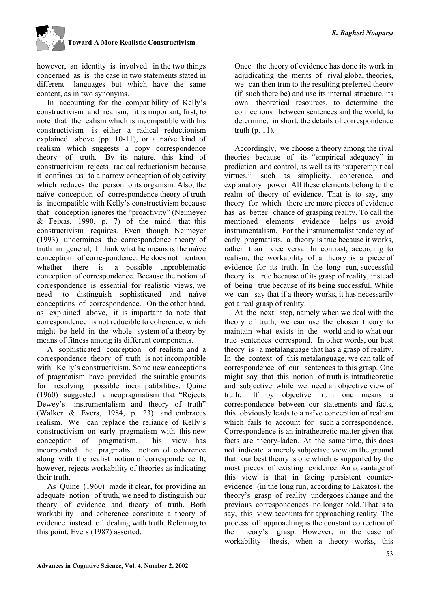

however, an identity is involved in the two things concerned as is the case in two statements stated in different languages but which have the same content, as in two synonyms.

In accounting for the compatibility of Kelly's constructivism and realism, it is important, first, to note that the realism which is incompatible with his constructivism is either a radical reductionism explained above (pp. 10-11), or a naïve kind of realism which suggests a copy correspondence theory of truth. By its nature, this kind of constructivism rejects radical reductionism because it confines us to a narrow conception of objectivity which reduces the person to its organism. Also, the naïve conception of correspondence theory of truth is incompatible with Kelly's constructivism because that conception ignores the "proactivity" (Neimeyer & Feixas, 1990, p. 7) of the mind that this constructivism requires. Even though Neimeyer (1993) undermines the correspondence theory of truth in general, I think what he means is the naïve conception of correspondence. He does not mention whether there is a possible unproblematic conception of correspondence. Because the notion of correspondence is essential for realistic views, we need to distinguish sophisticated and naïve conceptions of correspondence. On the other hand, as explained above, it is important to note that correspondence is not reducible to coherence, which might be held in the whole system of a theory by means of fitness among its different components.

A sophisticated conception of realism and a correspondence theory of truth is not incompatible with Kelly's constructivism. Some new conceptions of pragmatism have provided the suitable grounds for resolving possible incompatibilities. Quine (1960) suggested a neopragmatism that "Rejects Dewey's instrumentalism and theory of truth" (Walker & Evers, 1984, p. 23) and embraces realism. We can replace the reliance of Kelly's constructivism on early pragmatism with this new conception of pragmatism. This view has incorporated the pragmatist notion of coherence along with the realist notion of correspondence. It, however, rejects workability of theories as indicating their truth.

As Quine (1960) made it clear, for providing an adequate notion of truth, we need to distinguish our theory of evidence and theory of truth. Both workability and coherence constitute a theory of evidence instead of dealing with truth. Referring to this point, Evers (1987) asserted:

Once the theory of evidence has done its work in adjudicating the merits of rival global theories, we can then trun to the resulting preferred theory (if such there be) and use its internal structure, its own theoretical resources, to determine the connections between sentences and the world; to determine, in short, the details of correspondence truth (p. 11).

Accordingly, we choose a theory among the rival theories because of its "empirical adequacy" in prediction and control, as well as its "superempirical virtues," such as simplicity, coherence, and explanatory power. All these elements belong to the realm of theory of evidence. That is to say, any theory for which there are more pieces of evidence has as better chance of grasping reality. To call the mentioned elements evidence helps us avoid instrumentalism. For the instrumentalist tendency of early pragmatists, a theory is true because it works, rather than vice versa. In contrast, according to realism, the workability of a theory is a piece of evidence for its truth. In the long run, successful theory is true because of its grasp of reality, instead of being true because of its being successful. While we can say that if a theory works, it has necessarily got a real grasp of reality.

At the next step, namely when we deal with the theory of truth, we can use the chosen theory to maintain what exists in the world and to what our true sentences correspond. In other words, our best theory is a metalanguage that has a grasp of reality. In the context of this metalanguage, we can talk of correspondence of our sentences to this grasp. One might say that this notion of truth is intratheoretic and subjective while we need an objective view of truth. If by objective truth one means a correspondence between our statements and facts, this obviously leads to a naïve conception of realism which fails to account for such a correspondence. Correspondence is an intratheoretic matter given that facts are theory-laden. At the same time, this does not indicate a merely subjective view on the ground that our best theory is one which is supported by the most pieces of existing evidence. An advantage of this view is that in facing persistent counterevidence (in the long run, according to Lakatos), the theory's grasp of reality undergoes change and the previous correspondences no longer hold. That is to say, this view accounts for approaching reality. The process of approaching is the constant correction of the theory's grasp. However, in the case of workability thesis, when a theory works, this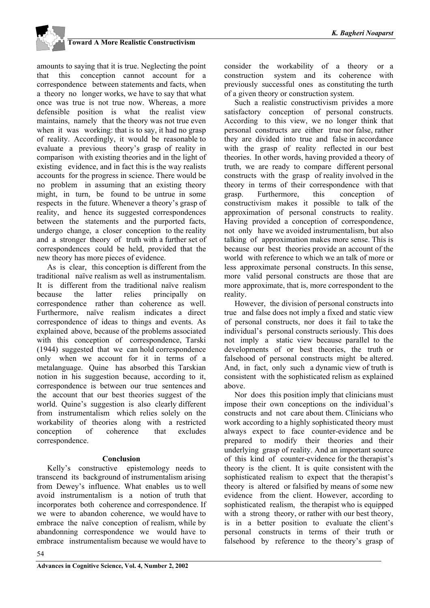

amounts to saying that it is true. Neglecting the point that this conception cannot account for a correspondence between statements and facts, when a theory no longer works, we have to say that what once was true is not true now. Whereas, a more defensible position is what the realist view maintains, namely that the theory was not true even when it was working: that is to say, it had no grasp of reality. Accordingly, it would be reasonable to evaluate a previous theory's grasp of reality in comparison with existing theories and in the light of existing evidence, and in fact this is the way realists accounts for the progress in science. There would be no problem in assuming that an existing theory might, in turn, be found to be untrue in some respects in the future. Whenever a theory's grasp of reality, and hence its suggested correspondences between the statements and the purported facts, undergo change, a closer conception to the reality and a stronger theory of truth with a further set of correspondences could be held, provided that the new theory has more pieces of evidence.

As is clear, this conception is different from the traditional naïve realism as well as instrumentalism. It is different from the traditional naïve realism because the latter relies principally on correspondence rather than coherence as well. Furthermore, naïve realism indicates a direct correspondence of ideas to things and events. As explained above, because of the problems associated with this conception of correspondence, Tarski (1944) suggested that we can hold correspondence only when we account for it in terms of a metalanguage. Quine has absorbed this Tarskian notion in his suggestion because, according to it, correspondence is between our true sentences and the account that our best theories suggest of the world. Quine's suggestion is also clearly different from instrumentalism which relies solely on the workability of theories along with a restricted conception of coherence that excludes correspondence.

### **Conclusion**

Kelly's constructive epistemology needs to transcend its background of instrumentalism arising from Dewey's influence. What enables us to well avoid instrumentalism is a notion of truth that incorporates both coherence and correspondence. If we were to abandon coherence, we would have to embrace the naïve conception of realism, while by abandonning correspondence we would have to embrace instrumentalism because we would have to

consider the workability of a theory or a construction system and its coherence with previously successful ones as constituting the turth of a given theory or construction system.

Such a realistic constructivism privides a more satisfactory conception of personal constructs. According to this view, we no longer think that personal constructs are either true nor false, rather they are divided into true and false in accordance with the grasp of reality reflected in our best theories. In other words, having provided a theory of truth, we are ready to compare different personal constructs with the grasp of reality involved in the theory in terms of their correspondence with that grasp. Furthermore, this conception of constructivism makes it possible to talk of the approximation of personal constructs to reality. Having provided a conception of correspondence, not only have we avoided instrumentalism, but also talking of approximation makes more sense. This is because our best theories provide an account of the world with reference to which we an talk of more or less approximate personal constructs. In this sense, more valid personal constructs are those that are more approximate, that is, more correspondent to the reality.

However, the division of personal constructs into true and false does not imply a fixed and static view of personal constructs, nor does it fail to take the individual's personal constructs seriously. This does not imply a static view because parallel to the developments of or best theories, the truth or falsehood of personal constructs might be altered. And, in fact, only such a dynamic view of truth is consistent with the sophisticated relism as explained above.

Nor does this position imply that clinicians must impose their own conceptions on the individual's constructs and not care about them. Clinicians who work according to a highly sophisticated theory must always expect to face counter-evidence and be prepared to modify their theories and their underlying grasp of reality. And an important source of this kind of counter-evidence for the therapist's theory is the client. It is quite consistent with the sophisticated realism to expect that the therapist's theory is altered or falsified by means of some new evidence from the client. However, according to sophisticated realism, the therapist who is equipped with a strong theory, or rather with our best theory, is in a better position to evaluate the client's personal constructs in terms of their truth or falsehood by reference to the theory's grasp of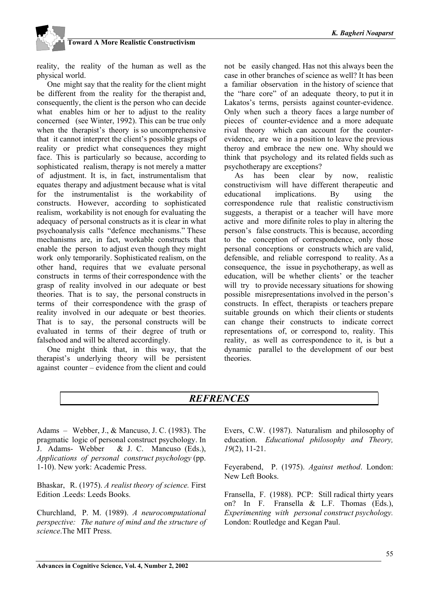reality, the reality of the human as well as the physical world.

One might say that the reality for the client might be different from the reality for the therapist and, consequently, the client is the person who can decide what enables him or her to adjust to the reality concerned (see Winter, 1992). This can be true only when the therapist's theory is so uncomprehensive that it cannot interpret the client's possible grasps of reality or predict what consequences they might face. This is particularly so because, according to sophisticated realism, therapy is not merely a matter of adjustment. It is, in fact, instrumentalism that equates therapy and adjustment because what is vital for the instrumentalist is the workability of constructs. However, according to sophisticated realism, workability is not enough for evaluating the adequacy of personal constructs as it is clear in what psychoanalysis calls "defence mechanisms." These mechanisms are, in fact, workable constructs that enable the person to adjust even though they might work only temporarily. Sophisticated realism, on the other hand, requires that we evaluate personal constructs in terms of their correspondence with the grasp of reality involved in our adequate or best theories. That is to say, the personal constructs in terms of their correspondence with the grasp of reality involved in our adequate or best theories. That is to say, the personal constructs will be evaluated in terms of their degree of truth or falsehood and will be altered accordingly.

One might think that, in this way, that the therapist's underlying theory will be persistent against counter – evidence from the client and could not be easily changed. Has not this always been the case in other branches of science as well? It has been a familiar observation in the history of science that the "hare core" of an adequate theory, to put it in Lakatos's terms, persists against counter-evidence. Only when such a theory faces a large number of pieces of counter-evidence and a more adequate rival theory which can account for the counterevidence, are we in a position to leave the previous theroy and embrace the new one. Why should we think that psychology and its related fields such as psychotherapy are exceptions?

As has been clear by now, realistic constructivism will have different therapeutic and educational implications. By using the correspondence rule that realistic constructivism suggests, a therapist or a teacher will have more active and more difinite roles to play in altering the person's false constructs. This is because, according to the conception of correspondence, only those personal conceptions or constructs which are valid, defensible, and reliable correspond to reality. As a consequence, the issue in psychotherapy, as well as education, will be whether clients' or the teacher will try to provide necessary situations for showing possible misrepresentations involved in the person's constructs. In effect, therapists or teachers prepare suitable grounds on which their clients or students can change their constructs to indicate correct representations of, or correspond to, reality. This reality, as well as correspondence to it, is but a dynamic parallel to the development of our best theories.

## *REFRENCES*

Adams – Webber, J., & Mancuso, J. C. (1983). The pragmatic logic of personal construct psychology. In J. Adams- Webber & J. C. Mancuso (Eds.), *Applications of personal construct psychology* (pp. 1-10). New york: Academic Press.

Bhaskar, R. (1975). *A realist theory of science.* First Edition Leeds: Leeds Books.

Churchland, P. M. (1989). *A neurocomputational perspective: The nature of mind and the structure of science*.The MIT Press.

Evers, C.W. (1987). Naturalism and philosophy of education. *Educational philosophy and Theory, 19*(2), 11-21.

Feyerabend, P. (1975). *Against method*. London: New Left Books.

Fransella, F. (1988). PCP: Still radical thirty years on? In F. Fransella & L.F. Thomas (Eds.), *Experimenting with personal construct psychology.* London: Routledge and Kegan Paul.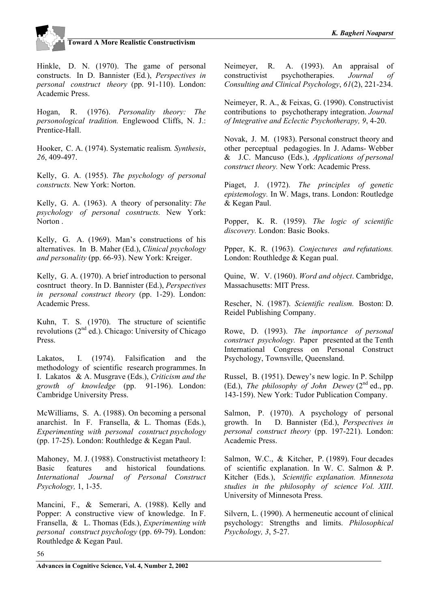

Hinkle, D. N. (1970). The game of personal constructs. In D. Bannister (Ed*.*), *Perspectives in personal construct theory* (pp. 91-110). London: Academic Press.

Hogan, R. (1976). *Personality theory: The personological tradition.* Englewood Cliffs, N. J.: Prentice-Hall.

Hooker, C. A. (1974). Systematic realism*. Synthesis*, *26*, 409-497.

Kelly, G. A. (1955). *The psychology of personal constructs.* New York: Norton.

Kelly, G. A. (1963). A theory of personality: *The psychology of personal cosntructs.* New York: Norton .

Kelly, G. A. (1969). Man's constructions of his alternatives. In B. Maher (Ed.), *Clinical psychology and personality* (pp. 66-93). New York: Kreiger.

Kelly, G. A. (1970). A brief introduction to personal cosntruct theory. In D. Bannister (Ed.), *Perspectives in personal construct theory* (pp. 1-29). London: Academic Press.

Kuhn, T. S. (1970). The structure of scientific revolutions  $(2<sup>nd</sup>$  ed.). Chicago: University of Chicago Press.

Lakatos, I. (1974). Falsification and the methodology of scientific research programmes. In I. Lakatos & A. Musgrave (Eds.), *Criticism and the growth of knowledge* (pp. 91-196). London: Cambridge University Press.

McWilliams, S. A. (1988). On becoming a personal anarchist. In F. Fransella, & L. Thomas (Eds.), *Experimenting with personal cosntruct psychology* (pp. 17-25). London: Routhledge & Kegan Paul.

Mahoney, M. J. (1988). Constructivist metatheory I: Basic features and historical foundations*. International Journal of Personal Construct Psychology,* 1, 1-35.

Mancini, F., & Semerari, A. (1988). Kelly and Popper: A constructive view of knowledge. In F. Fransella, & L. Thomas (Eds.), *Experimenting with personal construct psychology* (pp. 69-79). London: Routhledge & Kegan Paul.

Neimeyer, R. A. (1993). An appraisal of constructivist psychotherapies. *Journal of Consulting and Clinical Psychology*, *61*(2), 221-234.

Neimeyer, R. A., & Feixas, G. (1990). Constructivist contributions to psychotherapy integration. *Journal of Integrative and Eclectic Psychotherapy, 9*, 4-20.

Novak, J. M. (1983). Personal construct theory and other perceptual pedagogies. In J. Adams- Webber & J.C. Mancuso (Eds.), *Applications of personal construct theory.* New York: Academic Press.

Piaget, J. (1972). *The principles of genetic epistemology.* In W. Mags, trans. London: Routledge & Kegan Paul.

Popper, K. R. (1959). *The logic of scientific discovery.* London: Basic Books.

Ppper, K. R. (1963). *Conjectures and refutations.* London: Routhledge & Kegan pual.

Quine, W. V. (1960). *Word and object*. Cambridge, Massachusetts: MIT Press.

Rescher, N. (1987). *Scientific realism.* Boston: D. Reidel Publishing Company.

Rowe, D. (1993). *The importance of personal construct psychology.* Paper presented at the Tenth International Congress on Personal Construct Psychology, Townsville, Queensland.

Russel, B. (1951). Dewey's new logic. In P. Schilpp (Ed.), *The philosophy of John Dewey*  $(2^{nd}$  ed., pp. 143-159). New York: Tudor Publication Company.

Salmon, P. (1970). A psychology of personal growth. In D. Bannister (Ed.), *Perspectives in personal construct theory* (pp. 197-221). London: Academic Press.

Salmon, W.C., & Kitcher, P. (1989). Four decades of scientific explanation. In W. C. Salmon & P. Kitcher (Eds*.*), *Scientific explanation. Minnesota studies in the philosophy of science Vol. XIII*. University of Minnesota Press.

Silvern, L. (1990). A hermeneutic account of clinical psychology: Strengths and limits. *Philosophical Psychology, 3*, 5-27.